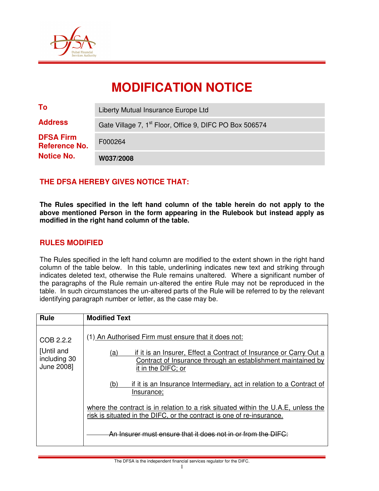

# **MODIFICATION NOTICE**

| <b>Notice No.</b>                        | W037/2008                                                           |  |
|------------------------------------------|---------------------------------------------------------------------|--|
| <b>DFSA Firm</b><br><b>Reference No.</b> | F000264                                                             |  |
| <b>Address</b>                           | Gate Village 7, 1 <sup>st</sup> Floor, Office 9, DIFC PO Box 506574 |  |
| To                                       | Liberty Mutual Insurance Europe Ltd                                 |  |

## **THE DFSA HEREBY GIVES NOTICE THAT:**

**The Rules specified in the left hand column of the table herein do not apply to the above mentioned Person in the form appearing in the Rulebook but instead apply as modified in the right hand column of the table.** 

## **RULES MODIFIED**

The Rules specified in the left hand column are modified to the extent shown in the right hand column of the table below. In this table, underlining indicates new text and striking through indicates deleted text, otherwise the Rule remains unaltered. Where a significant number of the paragraphs of the Rule remain un-altered the entire Rule may not be reproduced in the table. In such circumstances the un-altered parts of the Rule will be referred to by the relevant identifying paragraph number or letter, as the case may be.

| <b>Rule</b>                | <b>Modified Text</b>                                                                                                                                                                                                 |  |  |
|----------------------------|----------------------------------------------------------------------------------------------------------------------------------------------------------------------------------------------------------------------|--|--|
| COB 2.2.2<br>[Until and    | (1) An Authorised Firm must ensure that it does not:                                                                                                                                                                 |  |  |
| including 30<br>June 2008] | if it is an Insurer, Effect a Contract of Insurance or Carry Out a<br>(a)<br>Contract of Insurance through an establishment maintained by<br>it in the DIFC; or                                                      |  |  |
|                            | if it is an Insurance Intermediary, act in relation to a Contract of<br>(b)<br>Insurance;                                                                                                                            |  |  |
|                            | where the contract is in relation to a risk situated within the U.A.E, unless the<br>risk is situated in the DIFC, or the contract is one of re-insurance.<br>An Insurer must ensure that it does not in or from the |  |  |
|                            |                                                                                                                                                                                                                      |  |  |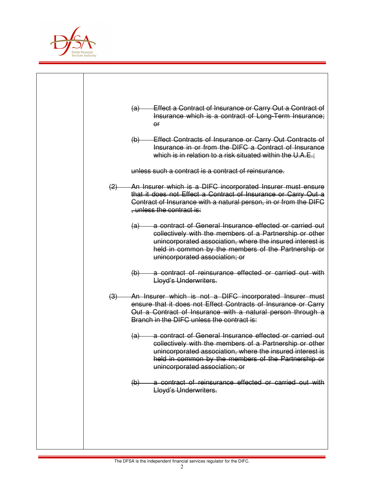

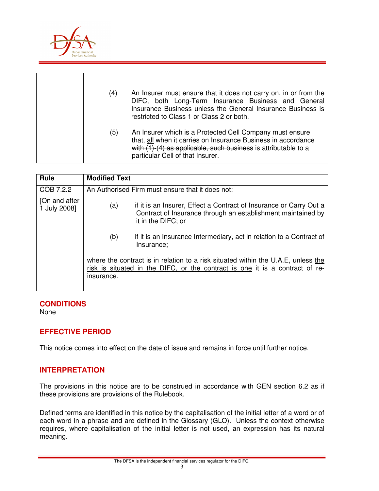

| (4) | An Insurer must ensure that it does not carry on, in or from the<br>DIFC, both Long-Term Insurance Business and General<br>Insurance Business unless the General Insurance Business is<br>restricted to Class 1 or Class 2 or both. |
|-----|-------------------------------------------------------------------------------------------------------------------------------------------------------------------------------------------------------------------------------------|
| (5) | An Insurer which is a Protected Cell Company must ensure<br>that, all when it carries on Insurance Business in accordance<br>with (1)-(4) as applicable, such business is attributable to a<br>particular Cell of that Insurer.     |

| <b>Rule</b>                   | <b>Modified Text</b>                                                                                                                                                                    |  |  |
|-------------------------------|-----------------------------------------------------------------------------------------------------------------------------------------------------------------------------------------|--|--|
| COB 7.2.2                     | An Authorised Firm must ensure that it does not:                                                                                                                                        |  |  |
| [On and after<br>1 July 2008] | if it is an Insurer, Effect a Contract of Insurance or Carry Out a<br>(a)<br>Contract of Insurance through an establishment maintained by<br>it in the DIFC; or                         |  |  |
|                               | if it is an Insurance Intermediary, act in relation to a Contract of<br>(b)<br>Insurance;                                                                                               |  |  |
|                               | where the contract is in relation to a risk situated within the U.A.E, unless the<br>risk is situated in the DIFC, or the contract is one $\ddot{t}$ is a contract of re-<br>insurance. |  |  |

#### **CONDITIONS**

None

# **EFFECTIVE PERIOD**

This notice comes into effect on the date of issue and remains in force until further notice.

#### **INTERPRETATION**

The provisions in this notice are to be construed in accordance with GEN section 6.2 as if these provisions are provisions of the Rulebook.

Defined terms are identified in this notice by the capitalisation of the initial letter of a word or of each word in a phrase and are defined in the Glossary (GLO). Unless the context otherwise requires, where capitalisation of the initial letter is not used, an expression has its natural meaning.